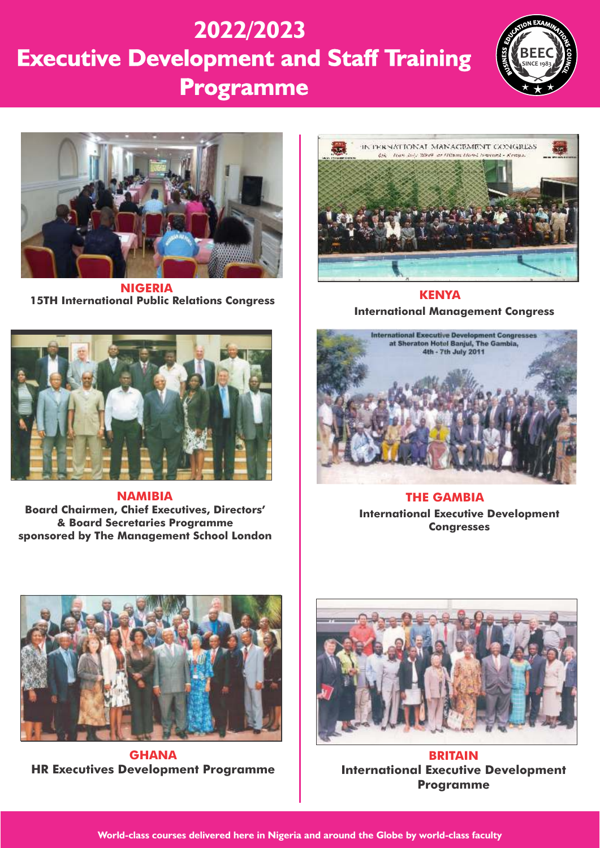# **Executive Development and Staff Training Programme 2022/2023**





**15TH International Public Relations Congress NIGERIA**



**Board Chairmen, Chief Executives, Directors' & Board Secretaries Programme sponsored by The Management School London NAMIBIA**



**International Management Congress KENYA**



**International Executive Development Congresses THE GAMBIA**



**GHANA HR Executives Development Programme**



**BRITAIN International Executive Development Programme**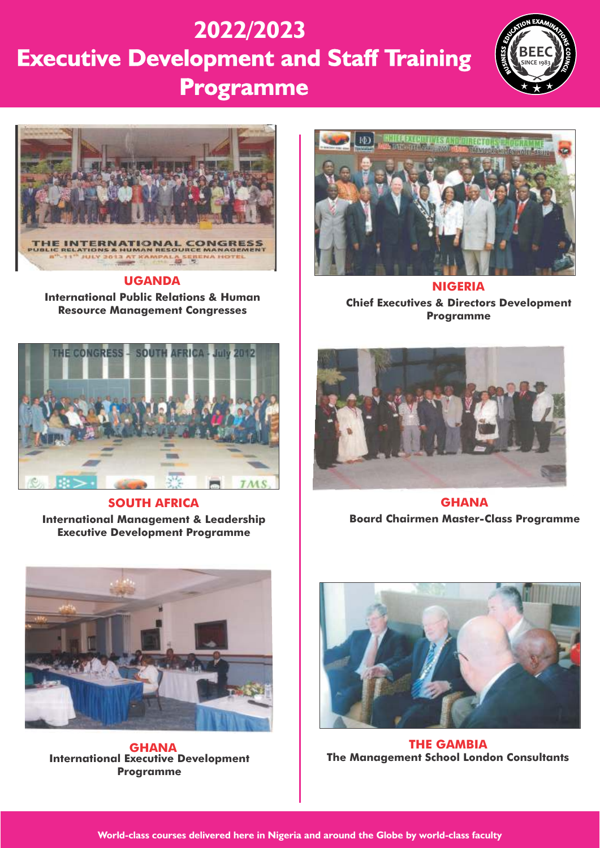# **Executive Development and Staff Training Programme 2022/2023**





#### **UGANDA**

**International Public Relations & Human Resource Management Congresses**



**SOUTH AFRICA International Management & Leadership Executive Development Programme**



**NIGERIA Chief Executives & Directors Development Programme**



**GHANA Board Chairmen Master-Class Programme**



**International Executive Development Programme** 



**The Management School London Consultants GHANA THE GAMBIA**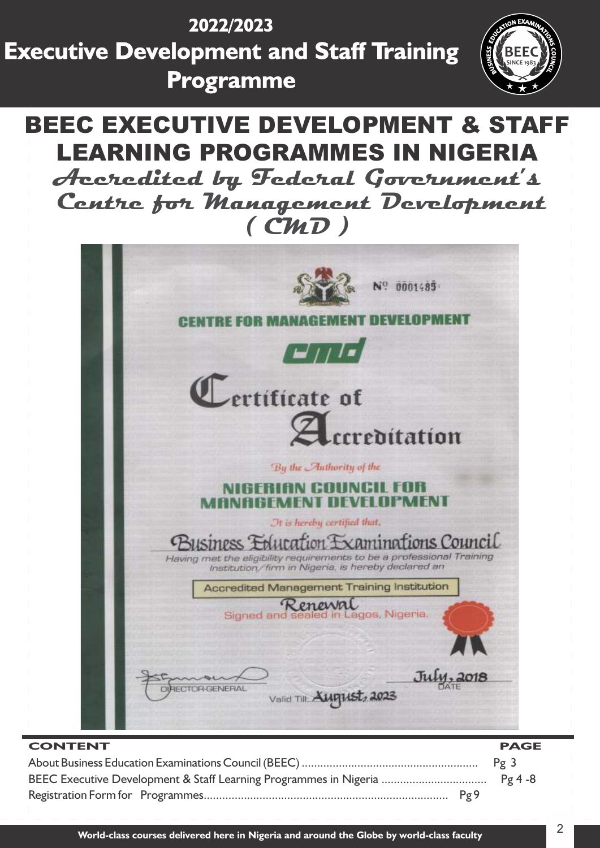





| <b>CONTENT</b> | <b>PAGE</b> |
|----------------|-------------|
|                |             |
|                |             |
|                |             |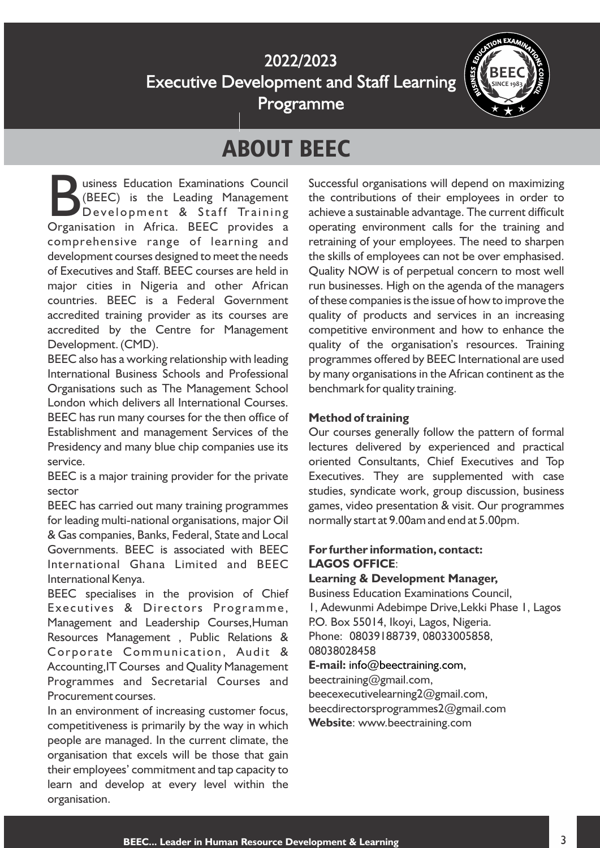

## ABOUT BEEC

Usiness Education Examinations Council<br>
(BEEC) is the Leading Management<br>
Development & Staff Training<br>
Organisation in Africa. BEEC provides a Development & Staff Training comprehensive range of learning and development courses designed to meet the needs of Executives and Staff. BEEC courses are held in major cities in Nigeria and other African countries. BEEC is a Federal Government accredited training provider as its courses are accredited by the Centre for Management Development. (CMD).

BEEC also has a working relationship with leading International Business Schools and Professional Organisations such as The Management School London which delivers all International Courses. BEEC has run many courses for the then office of Establishment and management Services of the Presidency and many blue chip companies use its service.

BEEC is a major training provider for the private sector

BEEC has carried out many training programmes for leading multi-national organisations, major Oil & Gas companies, Banks, Federal, State and Local Governments. BEEC is associated with BEEC International Ghana Limited and BEEC International Kenya.

BEEC specialises in the provision of Chief Executives & Directors Programme, Management and Leadership Courses,Human Resources Management , Public Relations & Corporate Communication, Audit & Accounting,IT Courses and Quality Management Programmes and Secretarial Courses and Procurement courses.

In an environment of increasing customer focus, competitiveness is primarily by the way in which people are managed. In the current climate, the organisation that excels will be those that gain their employees' commitment and tap capacity to learn and develop at every level within the organisation.

Successful organisations will depend on maximizing the contributions of their employees in order to achieve a sustainable advantage. The current difficult operating environment calls for the training and retraining of your employees. The need to sharpen the skills of employees can not be over emphasised. Quality NOW is of perpetual concern to most well run businesses. High on the agenda of the managers of these companies is the issue of how to improve the quality of products and services in an increasing competitive environment and how to enhance the quality of the organisation's resources. Training programmes offered by BEEC International are used by many organisations in the African continent as the benchmark for quality training.

#### **Method of training**

Our courses generally follow the pattern of formal lectures delivered by experienced and practical oriented Consultants, Chief Executives and Top Executives. They are supplemented with case studies, syndicate work, group discussion, business games, video presentation & visit. Our programmes normally start at 9.00am and end at 5.00pm.

#### **For further information, contact: LAGOS OFFICE**:

#### **Learning & Development Manager,**

1, Adewunmi Adebimpe Drive,Lekki Phase 1, Lagos Business Education Examinations Council, P.O. Box 55014, Ikoyi, Lagos, Nigeria. **E-mail:** info@beectraining.com, Phone: 08039188739, 08033005858, 08038028458

beectraining@gmail.com, beecexecutivelearning2@gmail.com,

beecdirectorsprogrammes2@gmail.com

**Website**: www.beectraining.com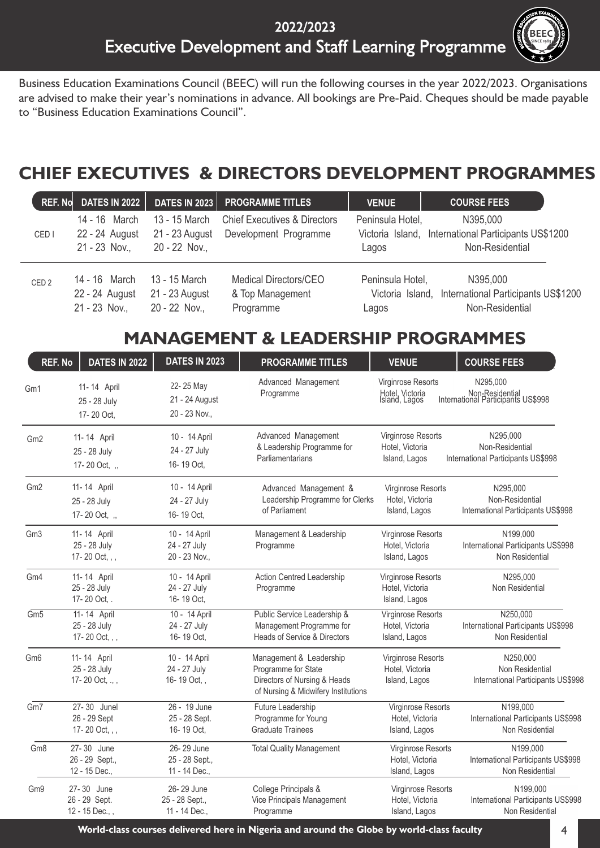

Business Education Examinations Council (BEEC) will run the following courses in the year 2022/2023. Organisations are advised to make their year's nominations in advance. All bookings are Pre-Paid. Cheques should be made payable to "Business Education Examinations Council".

### **CHIEF EXECUTIVES & DIRECTORS DEVELOPMENT PROGRAMMES**

| <b>REF. No</b>   | <b>DATES IN 2022</b>                             | <b>DATES IN 2023</b>                             | <b>PROGRAMME TITLES</b>                                          | <b>VENUE</b>              | <b>COURSE FEES</b>                                                                  |
|------------------|--------------------------------------------------|--------------------------------------------------|------------------------------------------------------------------|---------------------------|-------------------------------------------------------------------------------------|
| CED <sub>I</sub> | 14 - 16 March<br>22 - 24 August<br>21 - 23 Nov., | 13 - 15 March<br>21 - 23 August<br>20 - 22 Nov., | <b>Chief Executives &amp; Directors</b><br>Development Programme | Peninsula Hotel,<br>Lagos | N395,000<br>Victoria Island, International Participants US\$1200<br>Non-Residential |
| CED <sub>2</sub> | 14 - 16 March<br>22 - 24 August<br>21 - 23 Nov., | 13 - 15 March<br>21 - 23 August<br>20 - 22 Nov., | Medical Directors/CEO<br>& Top Management<br>Programme           | Peninsula Hotel,<br>Lagos | N395,000<br>Victoria Island, International Participants US\$1200<br>Non-Residential |

### **MANAGEMENT & LEADERSHIP PROGRAMMES**

| <b>REF. No</b>  | <b>DATES IN 2022</b>                           | <b>DATES IN 2023</b>                           | <b>PROGRAMME TITLES</b>                                                                                               | <b>VENUE</b>                                                  | <b>COURSE FEES</b>                                                |
|-----------------|------------------------------------------------|------------------------------------------------|-----------------------------------------------------------------------------------------------------------------------|---------------------------------------------------------------|-------------------------------------------------------------------|
| Gm1             | 11-14 April<br>25 - 28 July<br>17-20 Oct,      | 22-25 May<br>21 - 24 August<br>20 - 23 Nov.,   | Advanced Management<br>Programme                                                                                      | Virginrose Resorts<br>Hotel, Victoria<br>Island, Lagos        | N295,000<br>Non-Residential<br>International Participants US\$998 |
| Gm <sub>2</sub> | 11-14 April<br>25 - 28 July<br>17-20 Oct, ,,   | 10 - 14 April<br>24 - 27 July<br>16-19 Oct,    | Advanced Management<br>& Leadership Programme for<br>Parliamentarians                                                 | Virginrose Resorts<br>Hotel, Victoria<br>Island, Lagos        | N295,000<br>Non-Residential<br>International Participants US\$998 |
| Gm <sub>2</sub> | 11-14 April<br>25 - 28 July<br>17-20 Oct, ,,   | 10 - 14 April<br>24 - 27 July<br>16-19 Oct,    | Advanced Management &<br>Leadership Programme for Clerks<br>of Parliament                                             | Virginrose Resorts<br>Hotel, Victoria<br>Island, Lagos        | N295,000<br>Non-Residential<br>International Participants US\$998 |
| Gm <sub>3</sub> | 11-14 April<br>25 - 28 July<br>17-20 Oct, , ,  | 10 - 14 April<br>24 - 27 July<br>20 - 23 Nov., | Management & Leadership<br>Programme                                                                                  | Virginrose Resorts<br>Hotel, Victoria<br>Island, Lagos        | N199,000<br>International Participants US\$998<br>Non Residential |
| Gm4             | 11-14 April<br>25 - 28 July<br>17-20 Oct, .    | 10 - 14 April<br>24 - 27 July<br>16-19 Oct,    | <b>Action Centred Leadership</b><br>Programme                                                                         | Virginrose Resorts<br>Hotel, Victoria<br>Island, Lagos        | N295,000<br>Non Residential                                       |
| Gm <sub>5</sub> | 11-14 April<br>25 - 28 July<br>17-20 Oct, , ,  | 10 - 14 April<br>24 - 27 July<br>16-19 Oct,    | Public Service Leadership &<br>Management Programme for<br><b>Heads of Service &amp; Directors</b>                    | <b>Virginrose Resorts</b><br>Hotel, Victoria<br>Island, Lagos | N250,000<br>International Participants US\$998<br>Non Residential |
| Gm <sub>6</sub> | 11-14 April<br>25 - 28 July<br>17-20 Oct, ., , | 10 - 14 April<br>24 - 27 July<br>16-19 Oct,,   | Management & Leadership<br>Programme for State<br>Directors of Nursing & Heads<br>of Nursing & Midwifery Institutions | <b>Virginrose Resorts</b><br>Hotel, Victoria<br>Island, Lagos | N250,000<br>Non Residential<br>International Participants US\$998 |
| Gm7             | 27-30 Junel<br>26 - 29 Sept<br>17-20 Oct, , ,  | 26 - 19 June<br>25 - 28 Sept.<br>16-19 Oct,    | Future Leadership<br>Programme for Young<br><b>Graduate Trainees</b>                                                  | Virginrose Resorts<br>Hotel, Victoria<br>Island, Lagos        | N199,000<br>International Participants US\$998<br>Non Residential |
| Gm8             | 27-30 June<br>26 - 29 Sept.,<br>12 - 15 Dec.,  | 26-29 June<br>25 - 28 Sept.,<br>11 - 14 Dec.,  | <b>Total Quality Management</b>                                                                                       | Virginrose Resorts<br>Hotel, Victoria<br>Island, Lagos        | N199,000<br>International Participants US\$998<br>Non Residential |
| Gm9             | 27-30 June<br>26 - 29 Sept.<br>12 - 15 Dec.,,  | 26-29 June<br>25 - 28 Sept.,<br>11 - 14 Dec.,  | College Principals &<br>Vice Principals Management<br>Programme                                                       | Virginrose Resorts<br>Hotel, Victoria<br>Island, Lagos        | N199,000<br>International Participants US\$998<br>Non Residential |

**World-class courses delivered here in Nigeria and around the Globe by world-class faculty** 4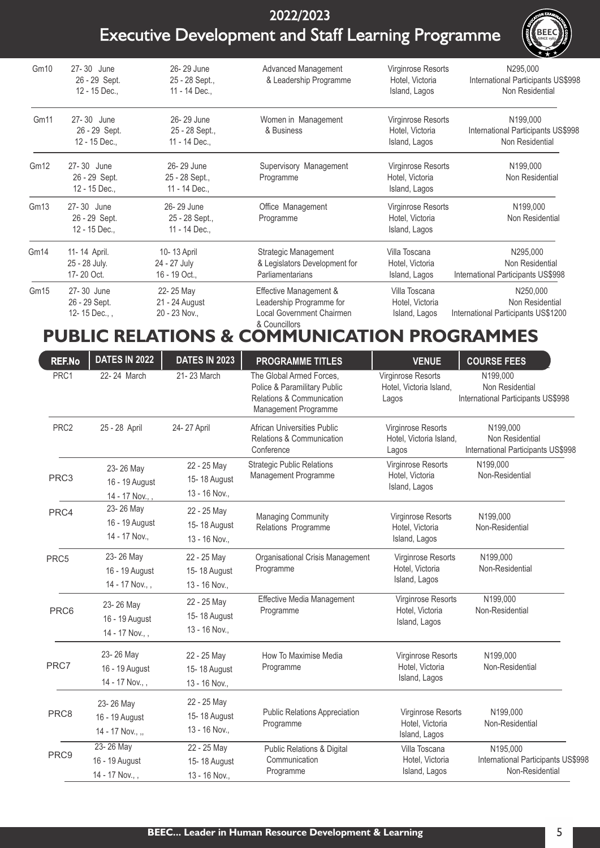

| Gm10             | 27-30 June<br>26 - 29 Sept.<br>12 - 15 Dec., | 26-29 June<br>25 - 28 Sept.,<br>11 - 14 Dec., | Advanced Management<br>& Leadership Programme                                                           | Virginrose Resorts<br>Hotel, Victoria<br>Island, Lagos | N295,000<br>International Participants US\$998<br>Non Residential  |
|------------------|----------------------------------------------|-----------------------------------------------|---------------------------------------------------------------------------------------------------------|--------------------------------------------------------|--------------------------------------------------------------------|
| Gm <sub>11</sub> | 27-30 June<br>26 - 29 Sept.<br>12 - 15 Dec., | 26-29 June<br>25 - 28 Sept.,<br>11 - 14 Dec., | Women in Management<br>& Business                                                                       | Virginrose Resorts<br>Hotel, Victoria<br>Island, Lagos | N199,000<br>International Participants US\$998<br>Non Residential  |
| Gm12             | 27-30 June<br>26 - 29 Sept.<br>12 - 15 Dec., | 26-29 June<br>25 - 28 Sept.,<br>11 - 14 Dec., | Supervisory Management<br>Programme                                                                     | Virginrose Resorts<br>Hotel, Victoria<br>Island, Lagos | N199,000<br>Non Residential                                        |
| Gm13             | 27-30 June<br>26 - 29 Sept.<br>12 - 15 Dec., | 26-29 June<br>25 - 28 Sept.,<br>11 - 14 Dec., | Office Management<br>Programme                                                                          | Virginrose Resorts<br>Hotel, Victoria<br>Island, Lagos | N199,000<br>Non Residential                                        |
| Gm <sub>14</sub> | 11-14 April.<br>25 - 28 July.<br>17-20 Oct.  | 10-13 April<br>24 - 27 July<br>16 - 19 Oct.,  | Strategic Management<br>& Legislators Development for<br>Parliamentarians                               | Villa Toscana<br>Hotel, Victoria<br>Island, Lagos      | N295,000<br>Non Residential<br>International Participants US\$998  |
| Gm <sub>15</sub> | 27-30 June<br>26 - 29 Sept.<br>12-15 Dec.,   | 22-25 May<br>21 - 24 August<br>20 - 23 Nov.,  | Effective Management &<br>Leadership Programme for<br><b>Local Government Chairmen</b><br>& Councillors | Villa Toscana<br>Hotel, Victoria<br>Island, Lagos      | N250,000<br>Non Residential<br>International Participants US\$1200 |

### **PUBLIC RELATIONS & COMMUNICATION PROGRAMMES**

| <b>REF.No</b>    | <b>DATES IN 2022</b>                            | <b>DATES IN 2023</b>                         | <b>PROGRAMME TITLES</b>                                                                                       | <b>VENUE</b>                                                  | <b>COURSE FEES</b>                                                |
|------------------|-------------------------------------------------|----------------------------------------------|---------------------------------------------------------------------------------------------------------------|---------------------------------------------------------------|-------------------------------------------------------------------|
| PRC1             | 22-24 March                                     | 21-23 March                                  | The Global Armed Forces,<br>Police & Paramilitary Public<br>Relations & Communication<br>Management Programme | Virginrose Resorts<br>Hotel, Victoria Island,<br>Lagos        | N199,000<br>Non Residential<br>International Participants US\$998 |
| PRC <sub>2</sub> | 25 - 28 April                                   | 24-27 April                                  | <b>African Universities Public</b><br><b>Relations &amp; Communication</b><br>Conference                      | <b>Virginrose Resorts</b><br>Hotel, Victoria Island,<br>Lagos | N199,000<br>Non Residential<br>International Participants US\$998 |
| PRC <sub>3</sub> | 23-26 May<br>16 - 19 August<br>14 - 17 Nov.,,   | 22 - 25 May<br>15-18 August<br>13 - 16 Nov., | <b>Strategic Public Relations</b><br>Management Programme                                                     | Virginrose Resorts<br>Hotel, Victoria<br>Island, Lagos        | N199,000<br>Non-Residential                                       |
| PRC4             | 23-26 May<br>16 - 19 August<br>14 - 17 Nov.,    | 22 - 25 May<br>15-18 August<br>13 - 16 Nov., | <b>Managing Community</b><br>Relations Programme                                                              | Virginrose Resorts<br>Hotel, Victoria<br>Island, Lagos        | N199,000<br>Non-Residential                                       |
| PRC5             | 23-26 May<br>16 - 19 August<br>14 - 17 Nov.,,   | 22 - 25 May<br>15-18 August<br>13 - 16 Nov., | Organisational Crisis Management<br>Programme                                                                 | Virginrose Resorts<br>Hotel, Victoria<br>Island, Lagos        | N199,000<br>Non-Residential                                       |
| PRC6             | 23-26 May<br>16 - 19 August<br>14 - 17 Nov.,,   | 22 - 25 May<br>15-18 August<br>13 - 16 Nov., | Effective Media Management<br>Programme                                                                       | Virginrose Resorts<br>Hotel, Victoria<br>Island, Lagos        | N199,000<br>Non-Residential                                       |
| PRC7             | 23-26 May<br>16 - 19 August<br>14 - 17 Nov.,,   | 22 - 25 May<br>15-18 August<br>13 - 16 Nov., | How To Maximise Media<br>Programme                                                                            | Virginrose Resorts<br>Hotel, Victoria<br>Island, Lagos        | N199,000<br>Non-Residential                                       |
| PRC8             | 23-26 May<br>16 - 19 August<br>14 - 17 Nov., ,, | 22 - 25 May<br>15-18 August<br>13 - 16 Nov., | <b>Public Relations Appreciation</b><br>Programme                                                             | Virginrose Resorts<br>Hotel, Victoria<br>Island, Lagos        | N199,000<br>Non-Residential                                       |
| PRC9             | 23-26 May<br>16 - 19 August<br>14 - 17 Nov.,,   | 22 - 25 May<br>15-18 August<br>13 - 16 Nov., | <b>Public Relations &amp; Digital</b><br>Communication<br>Programme                                           | Villa Toscana<br>Hotel, Victoria<br>Island, Lagos             | N195,000<br>International Participants US\$998<br>Non-Residential |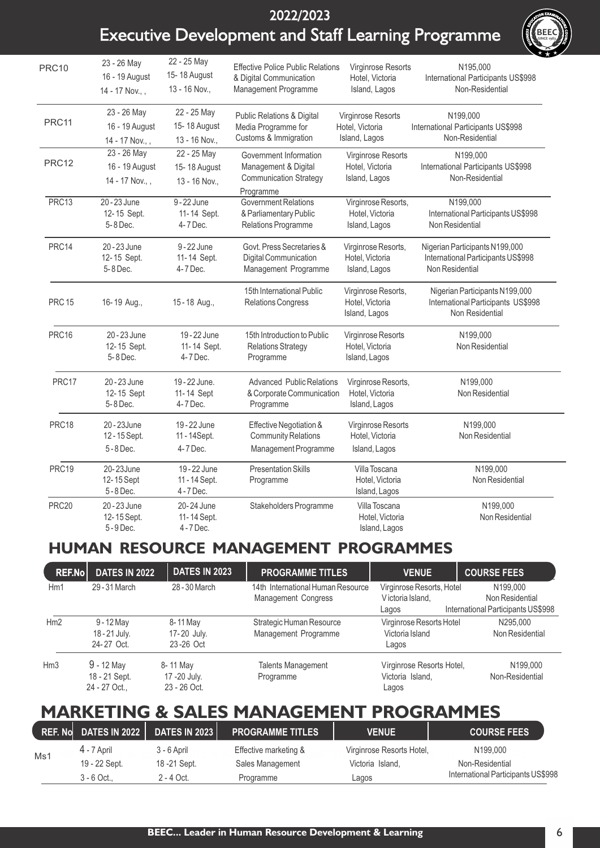

| <b>PRC10</b>      | 23 - 26 May<br>16 - 19 August<br>14 - 17 Nov.,, | 22 - 25 May<br>15-18 August<br>13 - 16 Nov., | <b>Effective Police Public Relations</b><br>& Digital Communication<br>Management Programme  | Virginrose Resorts<br>Hotel, Victoria<br>Island, Lagos  | N195,000<br>International Participants US\$998<br>Non-Residential                       |
|-------------------|-------------------------------------------------|----------------------------------------------|----------------------------------------------------------------------------------------------|---------------------------------------------------------|-----------------------------------------------------------------------------------------|
| PRC11             | 23 - 26 May<br>16 - 19 August<br>14 - 17 Nov.,, | 22 - 25 May<br>15-18 August<br>13 - 16 Nov., | Public Relations & Digital<br>Media Programme for<br>Customs & Immigration                   | Virginrose Resorts<br>Hotel, Victoria<br>Island, Lagos  | N199.000<br>International Participants US\$998<br>Non-Residential                       |
| PRC12             | 23 - 26 May<br>16 - 19 August<br>14 - 17 Nov.,, | 22 - 25 May<br>15-18 August<br>13 - 16 Nov., | Government Information<br>Management & Digital<br><b>Communication Strategy</b><br>Programme | Virginrose Resorts<br>Hotel, Victoria<br>Island, Lagos  | N199,000<br>International Participants US\$998<br>Non-Residential                       |
| PRC13             | 20 - 23 June<br>12-15 Sept.<br>5-8 Dec.         | $9 - 22$ June<br>11-14 Sept.<br>4-7 Dec.     | Government Relations<br>& Parliamentary Public<br>Relations Programme                        | Virginrose Resorts,<br>Hotel, Victoria<br>Island, Lagos | N199,000<br>International Participants US\$998<br>Non Residential                       |
| PRC14             | 20 - 23 June<br>12-15 Sept.<br>5-8 Dec.         | 9-22 June<br>11-14 Sept.<br>4-7 Dec.         | Govt. Press Secretaries &<br>Digital Communication<br>Management Programme                   | Virginrose Resorts,<br>Hotel, Victoria<br>Island, Lagos | Nigerian Participants N199,000<br>International Participants US\$998<br>Non Residential |
| <b>PRC 15</b>     | 16-19 Aug.,                                     | 15-18 Aug.,                                  | 15th International Public<br><b>Relations Congress</b>                                       | Virginrose Resorts,<br>Hotel, Victoria<br>Island, Lagos | Nigerian Participants N199,000<br>International Participants US\$998<br>Non Residential |
| PRC16             | 20 - 23 June<br>12-15 Sept.<br>5-8 Dec.         | 19 - 22 June<br>11-14 Sept.<br>4-7 Dec.      | 15th Introduction to Public<br><b>Relations Strategy</b><br>Programme                        | Virginrose Resorts<br>Hotel, Victoria<br>Island, Lagos  | N199,000<br>Non Residential                                                             |
| PRC17             | 20 - 23 June<br>12-15 Sept<br>5-8 Dec.          | 19 - 22 June.<br>11-14 Sept<br>4-7 Dec.      | <b>Advanced Public Relations</b><br>& Corporate Communication<br>Programme                   | Virginrose Resorts,<br>Hotel, Victoria<br>Island, Lagos | N199,000<br>Non Residential                                                             |
| PRC18             | 20-23June<br>12-15 Sept.<br>5-8 Dec.            | 19 - 22 June<br>11 - 14Sept.<br>4-7 Dec.     | Effective Negotiation &<br><b>Community Relations</b><br>Management Programme                | Virginrose Resorts<br>Hotel, Victoria<br>Island, Lagos  | N199,000<br>Non Residential                                                             |
| PRC19             | 20-23June<br>12-15 Sept<br>5-8 Dec.             | 19 - 22 June<br>11 - 14 Sept.<br>4-7 Dec.    | <b>Presentation Skills</b><br>Programme                                                      | Villa Toscana<br>Hotel, Victoria<br>Island, Lagos       | N199,000<br>Non Residential                                                             |
| PRC <sub>20</sub> | 20 - 23 June<br>12-15 Sept.<br>5-9 Dec.         | 20-24 June<br>11-14 Sept.<br>4 - 7 Dec.      | Stakeholders Programme                                                                       | Villa Toscana<br>Hotel, Victoria<br>Island, Lagos       | N199,000<br>Non Residential                                                             |

### **HUMAN RESOURCE MANAGEMENT PROGRAMMES**

| <b>REF.Nol</b> | <b>DATES IN 2022</b> | <b>DATES IN 2023</b> | <b>PROGRAMME TITLES</b>                                         | <b>VENUE</b>                                  | <b>COURSE FEES</b>                 |
|----------------|----------------------|----------------------|-----------------------------------------------------------------|-----------------------------------------------|------------------------------------|
| Hm1            | 29-31 March          | 28 - 30 March        | 14th International Human Resource<br><b>Management Congress</b> | Virginrose Resorts, Hotel<br>Victoria Island, | N199,000<br>Non Residential        |
|                |                      |                      |                                                                 | Lagos                                         | International Participants US\$998 |
| Hm2            | $9 - 12$ May         | 8-11 May             | Strategic Human Resource                                        | Virginrose Resorts Hotel                      | N295.000                           |
|                | 18 - 21 July.        | 17-20 July.          | Management Programme                                            | Victoria Island                               | Non Residential                    |
|                | 24-27 Oct.           | 23-26 Oct            |                                                                 | Lagos                                         |                                    |
| Hm3            | $9 - 12$ May         | 8-11 May             | <b>Talents Management</b>                                       | Virginrose Resorts Hotel,                     | N199,000                           |
|                | 18 - 21 Sept.        | 17 - 20 July.        | Programme                                                       | Victoria Island.                              | Non-Residential                    |
|                | 24 - 27 Oct          | 23 - 26 Oct.         |                                                                 | Lagos                                         |                                    |

#### Í **MARKETING & SALES MANAGEMENT PROGRAMMES**

|     | REF. No DATES IN 2022 | <b>DATES IN 2023  </b> | <b>PROGRAMME TITLES</b> | <b>VENUE</b>              | <b>COURSE FEES</b>                 |
|-----|-----------------------|------------------------|-------------------------|---------------------------|------------------------------------|
|     | 4 - 7 April           | 3 - 6 April            | Effective marketing &   | Virginrose Resorts Hotel, | N199,000                           |
| Ms1 | 19 - 22 Sept.         | 18 - 21 Sept.          | Sales Management        | Victoria Island.          | Non-Residential                    |
|     | 3 - 6 Oct             | $2 - 4$ Oct.           | Programme               | Lagos                     | International Participants US\$998 |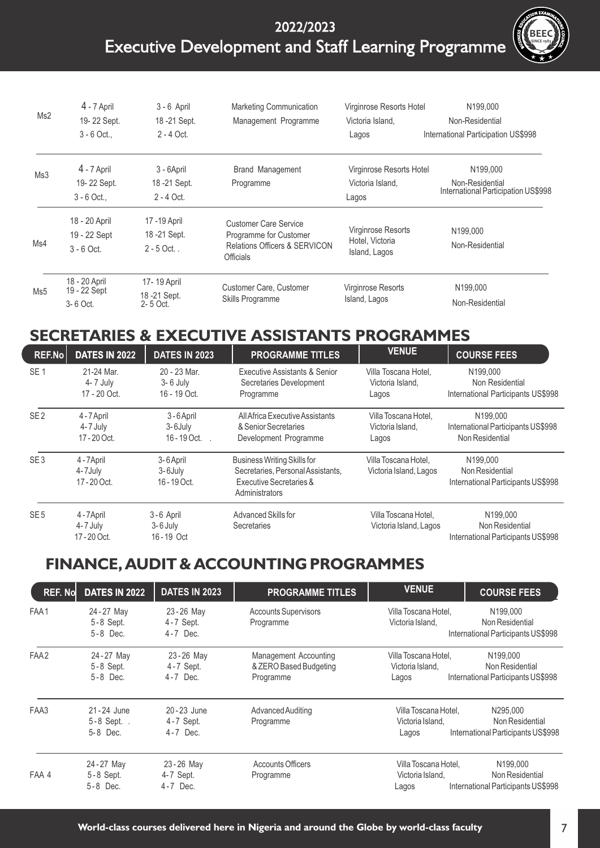

| Ms2 | $4 - 7$ April<br>19-22 Sept.<br>$3 - 6$ Oct., | $3 - 6$ April<br>18-21 Sept.<br>2 - 4 Oct.    | Marketing Communication<br>Management Programme                                                                        | Virginrose Resorts Hotel<br>Victoria Island.<br>Lagos         | N199,000<br>Non-Residential<br>International Participation US\$998             |
|-----|-----------------------------------------------|-----------------------------------------------|------------------------------------------------------------------------------------------------------------------------|---------------------------------------------------------------|--------------------------------------------------------------------------------|
| Ms3 | 4 - 7 April<br>19-22 Sept.<br>$3 - 6$ Oct.,   | 3 - 6April<br>18 - 21 Sept.<br>$2 - 4$ Oct.   | Brand Management<br>Programme                                                                                          | Virginrose Resorts Hotel<br>Victoria Island,<br>Lagos         | N <sub>199,000</sub><br>Non-Residential<br>International Participation US\$998 |
| Ms4 | 18 - 20 April<br>19 - 22 Sept<br>$3 - 6$ Oct. | 17 - 19 April<br>18 - 21 Sept.<br>$2 - 5$ Oct | <b>Customer Care Service</b><br>Programme for Customer<br><b>Relations Officers &amp; SERVICON</b><br><b>Officials</b> | <b>Virginrose Resorts</b><br>Hotel, Victoria<br>Island, Lagos | N199,000<br>Non-Residential                                                    |
| Ms5 | 18 - 20 April<br>19 - 22 Sept<br>3-6 Oct.     | 17-19 April<br>18 - 21 Sept.<br>2-5 Oct.      | Customer Care, Customer<br>Skills Programme                                                                            | <b>Virginrose Resorts</b><br>Island, Lagos                    | N <sub>199.000</sub><br>Non-Residential                                        |

### **SECRETARIES & EXECUTIVE ASSISTANTS PROGRAMMES**

| REF.No          | <b>DATES IN 2022</b>                    | <b>DATES IN 2023</b>                         | <b>PROGRAMME TITLES</b>                                                                                              | <b>VENUE</b>                                      | <b>COURSE FEES</b>                                                |
|-----------------|-----------------------------------------|----------------------------------------------|----------------------------------------------------------------------------------------------------------------------|---------------------------------------------------|-------------------------------------------------------------------|
| SE <sub>1</sub> | 21-24 Mar.<br>4- 7 July<br>17 - 20 Oct. | 20 - 23 Mar.<br>$3 - 6$ July<br>16 - 19 Oct. | Executive Assistants & Senior<br>Secretaries Development<br>Programme                                                | Villa Toscana Hotel.<br>Victoria Island,<br>Lagos | N199,000<br>Non Residential<br>International Participants US\$998 |
| SE <sub>2</sub> | 4 - 7 April<br>4-7 July<br>17 - 20 Oct. | 3-6 April<br>3-6July<br>$16 - 19$ Oct. .     | All Africa Executive Assistants<br>& Senior Secretaries<br>Development Programme                                     | Villa Toscana Hotel,<br>Victoria Island,<br>Lagos | N199,000<br>International Participants US\$998<br>Non Residential |
| SE <sub>3</sub> | 4 - 7 April<br>4-7July<br>17 - 20 Oct.  | 3-6 April<br>3-6July<br>16 - 19 Oct.         | <b>Business Writing Skills for</b><br>Secretaries, Personal Assistants,<br>Executive Secretaries &<br>Administrators | Villa Toscana Hotel,<br>Victoria Island, Lagos    | N199,000<br>Non Residential<br>International Participants US\$998 |
| SE <sub>5</sub> | 4 - 7 April<br>4-7 July<br>17 - 20 Oct. | 3-6 April<br>$3 - 6$ July<br>16-19 Oct       | Advanced Skills for<br><b>Secretaries</b>                                                                            | Villa Toscana Hotel,<br>Victoria Island, Lagos    | N199,000<br>Non Residential<br>International Participants US\$998 |

### **FINANCE, AUDIT & ACCOUNTING PROGRAMMES**

| <b>REF. Nol</b> | <b>DATES IN 2022</b>                  | <b>DATES IN 2023</b>                     | <b>PROGRAMME TITLES</b>                                             | <b>VENUE</b>                                      | <b>COURSE FEES</b>                                                            |
|-----------------|---------------------------------------|------------------------------------------|---------------------------------------------------------------------|---------------------------------------------------|-------------------------------------------------------------------------------|
| FAA1            | 24 - 27 May<br>5-8 Sept.<br>5-8 Dec.  | 23-26 May<br>$4 - 7$ Sept.<br>$4-7$ Dec. | <b>Accounts Supervisors</b><br>Programme                            | Villa Toscana Hotel.<br>Victoria Island.          | N199,000<br>Non Residential<br>International Participants US\$998             |
| FAA2            | 24-27 May<br>5-8 Sept.<br>$5-8$ Dec.  | 23-26 May<br>4-7 Sept.<br>$4 - 7$ Dec.   | <b>Management Accounting</b><br>& ZERO Based Budgeting<br>Programme | Villa Toscana Hotel.<br>Victoria Island.<br>Lagos | N <sub>199.000</sub><br>Non Residential<br>International Participants US\$998 |
| FAA3            | 21-24 June<br>5-8 Sept. .<br>5-8 Dec. | 20-23 June<br>4-7 Sept.<br>4-7 Dec.      | Advanced Auditing<br>Programme                                      | Villa Toscana Hotel,<br>Victoria Island,<br>Lagos | N295,000<br>Non Residential<br>International Participants US\$998             |
| FAA 4           | 24-27 May<br>5-8 Sept.<br>5-8 Dec.    | 23-26 May<br>4-7 Sept.<br>$4 - 7$ Dec.   | <b>Accounts Officers</b><br>Programme                               | Villa Toscana Hotel,<br>Victoria Island.<br>Lagos | N <sub>199,000</sub><br>Non Residential<br>International Participants US\$998 |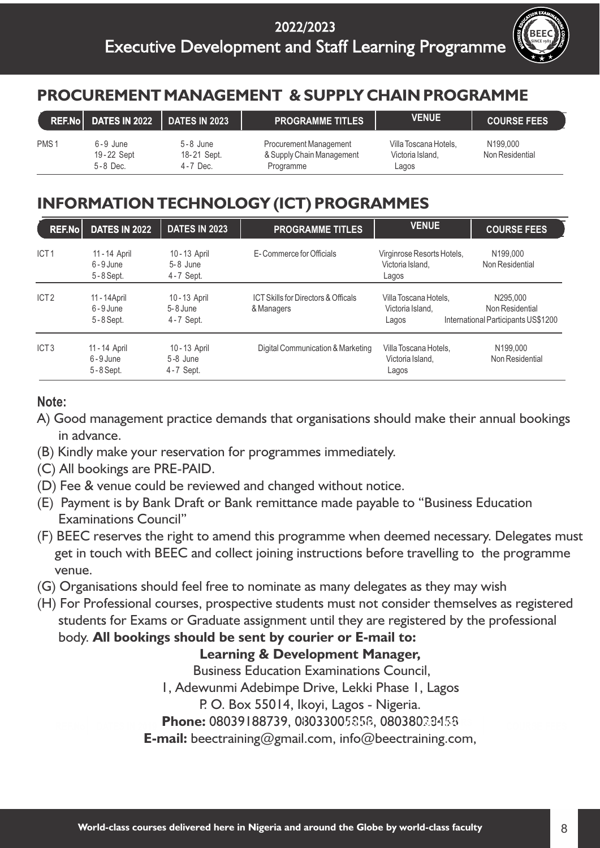

### **PROCUREMENT MANAGEMENT & SUPPLY CHAIN PROGRAMME**

|                  | <b>REF.No DATES IN 2022</b>                | <b>DATES IN 2023</b>                        | <b>PROGRAMME TITLES</b>                                                 | <b>VENUE</b>                                       | <b>COURSE FEES</b>          |
|------------------|--------------------------------------------|---------------------------------------------|-------------------------------------------------------------------------|----------------------------------------------------|-----------------------------|
| PMS <sub>1</sub> | $6 - 9$ June<br>19-22 Sept<br>$5 - 8$ Dec. | $5 - 8$ June<br>18-21 Sept.<br>$4 - 7$ Dec. | <b>Procurement Management</b><br>& Supply Chain Management<br>Programme | Villa Toscana Hotels,<br>Victoria Island.<br>Lagos | N199,000<br>Non Residential |

### **INFORMATION TECHNOLOGY (ICT) PROGRAMMES**

| REF.No           | <b>DATES IN 2022</b>                       | <b>DATES IN 2023</b>                     | <b>PROGRAMME TITLES</b>                                      | <b>VENUE</b>                                            | <b>COURSE FEES</b>                                                 |
|------------------|--------------------------------------------|------------------------------------------|--------------------------------------------------------------|---------------------------------------------------------|--------------------------------------------------------------------|
| ICT <sub>1</sub> | 11 - 14 April<br>$6 - 9$ June<br>5-8 Sept. | 10-13 April<br>$5-8$ June<br>4-7 Sept.   | E-Commerce for Officials                                     | Virginrose Resorts Hotels,<br>Victoria Island.<br>Lagos | N199,000<br>Non Residential                                        |
| ICT <sub>2</sub> | 11 - 14 April<br>$6 - 9$ June<br>5-8 Sept. | 10-13 April<br>$5-8$ June<br>4-7 Sept.   | <b>ICT Skills for Directors &amp; Officals</b><br>& Managers | Villa Toscana Hotels.<br>Victoria Island.<br>Lagos      | N295,000<br>Non Residential<br>International Participants US\$1200 |
| ICT <sub>3</sub> | 11 - 14 April<br>$6 - 9$ June<br>5-8 Sept. | 10 - 13 April<br>$5-8$ June<br>4-7 Sept. | Digital Communication & Marketing                            | Villa Toscana Hotels.<br>Victoria Island,<br>Lagos      | N199,000<br>Non Residential                                        |

### **Note:**

- in advance. A) Good management practice demands that organisations should make their annual bookings
- (B) Kindly make your reservation for programmes immediately.
- (C) All bookings are PRE-PAID.
- (D) Fee & venue could be reviewed and changed without notice.
- Examinations Council" (E) Payment is by Bank Draft or Bank remittance made payable to "Business Education
- venue. (F) BEEC reserves the right to amend this programme when deemed necessary. Delegates must get in touch with BEEC and collect joining instructions before travelling to the programme
- (G) Organisations should feel free to nominate as many delegates as they may wish
- students for Exams or Graduate assignment until they are registered by the professional body. **All bookings should be sent by courier or E-mail to:** (H) For Professional courses, prospective students must not consider themselves as registered

#### **Learning & Development Manager,**

Business Education Examinations Council,

1, Adewunmi Adebimpe Drive, Lekki Phase 1, Lagos

P. O. Box 55014, Ikoyi, Lagos - Nigeria.

**Phone:** 08039188739, 08033005858, 08038028458

**E-mail:** beectraining@gmail.com, info@beectraining.com,